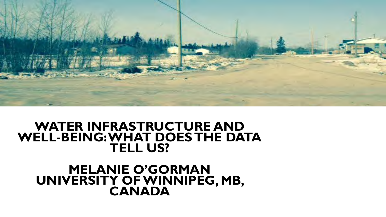

#### **WATER INFRASTRUCTURE AND WELL-BEING: WHAT DOES THE DATA TELL US?**

# **MELANIE O'GORMAN UNIVERSITY OF WINNIPEG, MB, CANADA**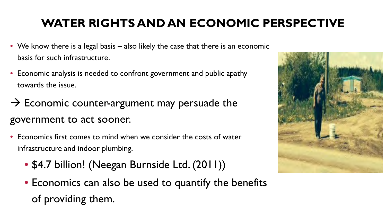## **WATER RIGHTS AND AN ECONOMIC PERSPECTIVE**

- We know there is a legal basis also likely the case that there is an economic basis for such infrastructure.
- Economic analysis is needed to confront government and public apathy towards the issue.
- $\rightarrow$  Economic counter-argument may persuade the government to act sooner.
- Economics first comes to mind when we consider the costs of water infrastructure and indoor plumbing.
	- \$4.7 billion! (Neegan Burnside Ltd. (2011))
	- Economics can also be used to quantify the benefits of providing them.

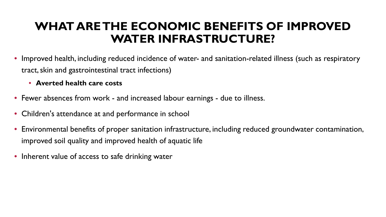#### **WHAT ARE THE ECONOMIC BENEFITS OF IMPROVED WATER INFRASTRUCTURE?**

- Improved health, including reduced incidence of water- and sanitation-related illness (such as respiratory tract, skin and gastrointestinal tract infections)
	- **Averted health care costs**
- Fewer absences from work and increased labour earnings due to illness.
- Children's attendance at and performance in school
- Environmental benefits of proper sanitation infrastructure, including reduced groundwater contamination, improved soil quality and improved health of aquatic life
- Inherent value of access to safe drinking water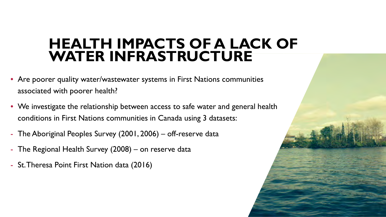# **HEALTH IMPACTS OF A LACK OF WATER INFRASTRUCTURE**

- Are poorer quality water/wastewater systems in First Nations communities associated with poorer health?
- We investigate the relationship between access to safe water and general health conditions in First Nations communities in Canada using 3 datasets:
- The Aboriginal Peoples Survey (2001, 2006) off-reserve data
- The Regional Health Survey (2008) on reserve data
- St. Theresa Point First Nation data (2016)

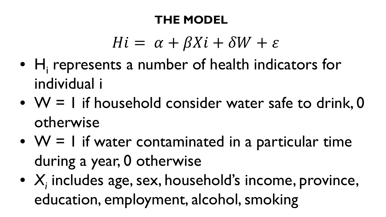#### **THE MODEL**

# $Hi = \alpha + \beta Xi + \delta W + \varepsilon$

- $H_i$  represents a number of health indicators for individual i
- $W = I$  if household consider water safe to drink, 0 otherwise
- $W = I$  if water contaminated in a particular time during a year, 0 otherwise
- *X<sub>i</sub>* includes age, sex, household's income, province, education, employment, alcohol, smoking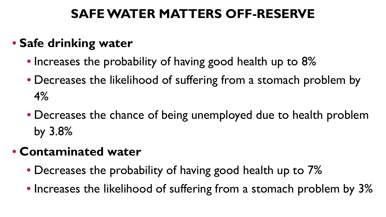### **SAFE WATER MATTERS OFF-RESERVE**

# • **Safe drinking water**

- Increases the probability of having good health up to 8%
- Decreases the likelihood of suffering from a stomach problem by 4%
- Decreases the chance of being unemployed due to health problem by 3.8%

# • **Contaminated water**

- Decreases the probability of having good health up to 7%
- Increases the likelihood of suffering from a stomach problem by 3%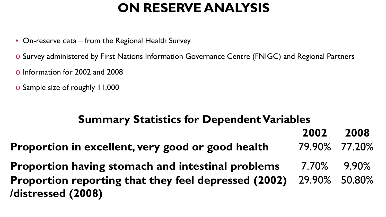# **ON RESERVE ANALYSIS**

- On-reserve data from the Regional Health Survey
- o Survey administered by First Nations Information Governance Centre (FNIGC) and Regional Partners
- o Information for 2002 and 2008
- o Sample size of roughly 11,000

#### **Summary Statistics for Dependent Variables**

**2002 2008**

**Proportion in excellent, very good or good health 79.90% 77.20%** 

**Proportion having stomach and intestinal problems** 7.70% 9.90% **Proportion reporting that they feel depressed (2002) /distressed (2008)** 29.90% 50.80%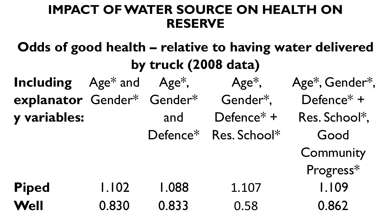### **IMPACT OF WATER SOURCE ON HEALTH ON RESERVE**

**Odds of good health – relative to having water delivered by truck (2008 data) Including explanator** Gender\* Gender\* **y variables:** Age\* and Age\*, and Defence\* Res. School\* Age\*, Gender\*, Defence\* + Age\*, Gender\*, Defence\* + Res. School\*, Good **Community** Progress\* Piped 1.102 1.088 1.107 1.109 **Well** 0.830 0.833 0.58 0.862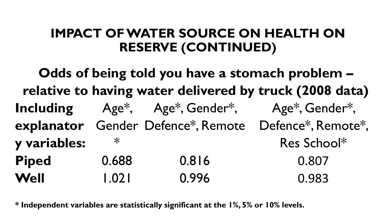## **IMPACT OF WATER SOURCE ON HEALTH ON RESERVE (CONTINUED)**

**Odds of being told you have a stomach problem – relative to having water delivered by truck (2008 data) Including**  explanator Gender Defence\*, Remote Defence\*, Remote\*, **y variables:** Age\*, Age\*, Gender\*, Age\*, Gender\*,  $\ast$ Res School\* **Piped** 0.688 0.816 0.807 **Well** 1.021 0.996 0.983

**\* Independent variables are statistically significant at the 1%, 5% or 10% levels.**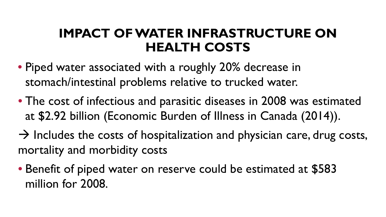#### **IMPACT OF WATER INFRASTRUCTURE ON HEALTH COSTS**

- Piped water associated with a roughly 20% decrease in stomach/intestinal problems relative to trucked water.
- The cost of infectious and parasitic diseases in 2008 was estimated at \$2.92 billion (Economic Burden of Illness in Canada (2014)).
- $\rightarrow$  Includes the costs of hospitalization and physician care, drug costs, mortality and morbidity costs
- Benefit of piped water on reserve could be estimated at \$583 million for 2008.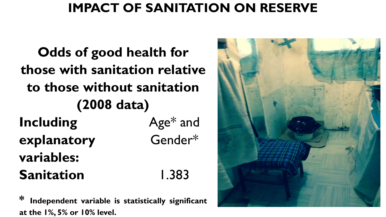# **IMPACT OF SANITATION ON RESERVE**

**Odds of good health for those with sanitation relative to those without sanitation (2008 data) Including explanatory variables:** Age\* and Gender\* Sanitation 1.383

**\* Independent variable is statistically significant at the 1%, 5% or 10% level.**

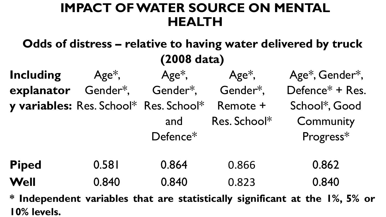### **IMPACT OF WATER SOURCE ON MENTAL HEALTH**

**Odds of distress – relative to having water delivered by truck (2008 data) Including explanator y variables:** Res. School\* Res. School\* Remote + Age\*, Gender\*, Gender\*, Gender\*, Age\*, and Defence\* Age\*, Res. School\* Age\*, Gender\*, Defence\* + Res. School\*, Good **Community** Progress\* **Piped** 0.581 0.864 0.866 0.862 **Well** 0.840 0.840 0.823 0.840 **\* Independent variables that are statistically significant at the 1%, 5% or**

**10% levels.**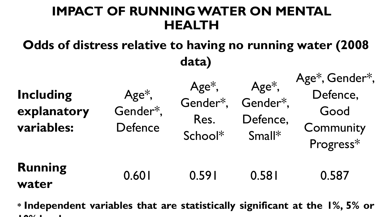# **IMPACT OF RUNNING WATER ON MENTAL HEALTH**

# **Odds of distress relative to having no running water (2008 data)**

| <b>Including</b><br>explanatory<br>variables: | $Age*,$<br>Gender*,<br>Defence | $Age*,$<br>Gender*,<br>Res.<br>School* | $Age*,$<br>Gender*,<br>Defence,<br>Small* | Age*, Gender*,<br>Defence,<br>Good<br>Community<br>Progress* |
|-----------------------------------------------|--------------------------------|----------------------------------------|-------------------------------------------|--------------------------------------------------------------|
| <b>Running</b><br>water                       | 0.601                          | 0.591                                  | 0.581                                     | 0.587                                                        |

**\* Independent variables that are statistically significant at the 1%, 5% or 10% l l**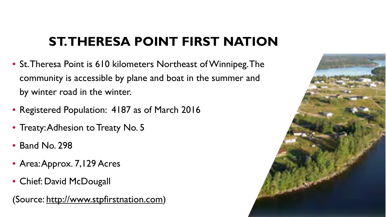# **ST. THERESA POINT FIRST NATION**

- St. Theresa Point is 610 kilometers Northeast of Winnipeg. The community is accessible by plane and boat in the summer and by winter road in the winter.
- Registered Population: 4187 as of March 2016
- Treaty: Adhesion to Treaty No. 5
- Band No. 298
- Area: Approx. 7, 129 Acres
- Chief: David McDougall

(Source: http://www.stpfirstnation.com)

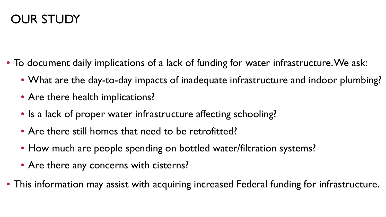# OUR STUDY

- To document daily implications of a lack of funding for water infrastructure. We ask:
	- What are the day-to-day impacts of inadequate infrastructure and indoor plumbing?
	- Are there health implications?
	- Is a lack of proper water infrastructure affecting schooling?
	- Are there still homes that need to be retrofitted?
	- How much are people spending on bottled water/filtration systems?
	- Are there any concerns with cisterns?
- This information may assist with acquiring increased Federal funding for infrastructure.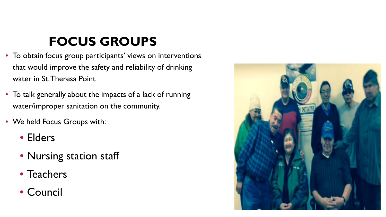# **FOCUS GROUPS**

- To obtain focus group participants' views on interventions that would improve the safety and reliability of drinking water in St. Theresa Point
- To talk generally about the impacts of a lack of running water/improper sanitation on the community.
- We held Focus Groups with:
	- Elders
	- Nursing station staff
	- Teachers
	- Council

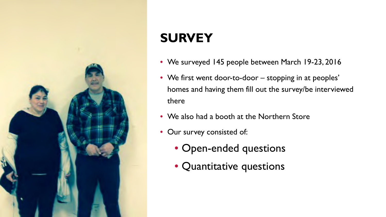

# **SURVEY**

- We surveyed 145 people between March 19-23, 2016
- We first went door-to-door stopping in at peoples' homes and having them fill out the survey/be interviewed there
- We also had a booth at the Northern Store
- Our survey consisted of:
	- Open-ended questions
	- Quantitative questions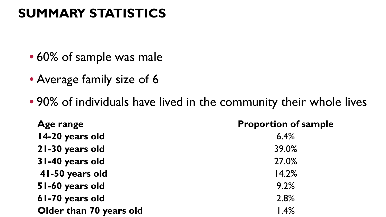# **SUMMARY STATISTICS**

- 60% of sample was male
- Average family size of 6
- 90% of individuals have lived in the community their whole lives

| Age range               | <b>Proportion of sample</b> |
|-------------------------|-----------------------------|
| 14-20 years old         | 6.4%                        |
| 21-30 years old         | 39.0%                       |
| 31-40 years old         | 27.0%                       |
| 41-50 years old         | 14.2%                       |
| 51-60 years old         | 9.2%                        |
| 61-70 years old         | 2.8%                        |
| Older than 70 years old | 1.4%                        |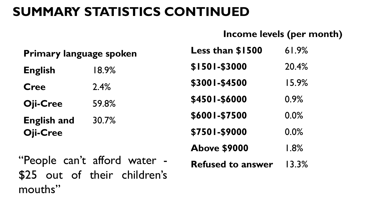## **SUMMARY STATISTICS CONTINUED**

#### **Income levels (per month)**

| Primary language spoken |          | Less than \$1500    | 61.9%   |
|-------------------------|----------|---------------------|---------|
| <b>English</b>          | $18.9\%$ | \$1501-\$3000       | 20.4%   |
| <b>Cree</b>             | 2.4%     | \$3001-\$4500       | 15.9%   |
| Oji-Cree                | 59.8%    | \$4501-\$6000       | 0.9%    |
| <b>English and</b>      | 30.7%    | \$6001-\$7500       | 0.0%    |
| <b>Oji-Cree</b>         |          | \$7501-\$9000       | 0.0%    |
|                         |          | <b>Above \$9000</b> | $1.8\%$ |

"People can't afford water -\$25 out of their children's mouths"

| <b>Refused to answer</b> |  | 13.3% |
|--------------------------|--|-------|
|                          |  |       |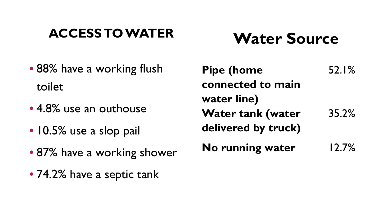# **ACCESS TO WATER**

# **Water Source**

- 88% have a working flush toilet
- 4.8% use an outhouse
- 10.5% use a slop pail
- 87% have a working shower
- 74.2% have a septic tank

| <b>Pipe (home</b>        | 52.1% |
|--------------------------|-------|
| connected to main        |       |
| water line)              |       |
| <b>Water tank (water</b> | 35.2% |
| delivered by truck)      |       |
| No running water         | 12.7% |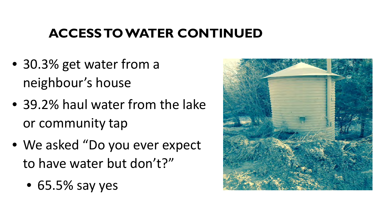# **ACCESS TO WATER CONTINUED**

- 30.3% get water from a neighbour's house
- 39.2% haul water from the lake or community tap
- We asked "Do you ever expect to have water but don't?"
	- 65.5% say yes

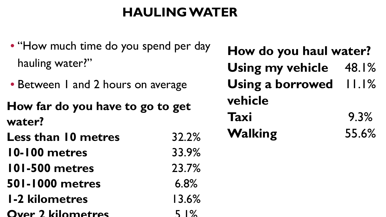# **HAULING WATER**

- "How much time do you spend per day" hauling water?"
- Between 1 and 2 hours on average
- **How far do you have to go to get water?**
- Less than 10 metres 32.2%
- **10-100 metres** 33.9%
- **101-500 metres** 23.7%
- **501-1000 metres** 6.8%
- **1-2 kilometres** 13.6%
- **Over 2 kilometres** 5 1%

**How do you haul water?** Using my vehicle 48.1% **Using a borrowed**  11.1% **vehicle Taxi** 9.3% **Walking** 55.6%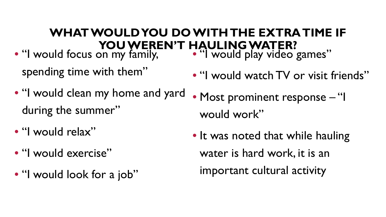#### **WHAT WOULD YOU DO WITH THE EXTRA TIME IF YOU WEREN'T HAULING WATER?**

- "I would focus on my family, would play video games" spending time with them"
- "I would clean my home and yard during the summer"
- "I would relax"
- "I would exercise"
- "I would look for a job"
- "I would watch TV or visit friends"
- Most prominent response "I would work"
- It was noted that while hauling water is hard work, it is an important cultural activity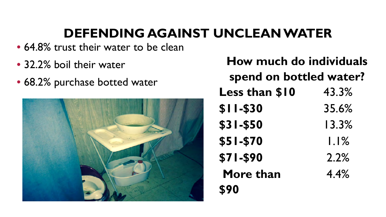# **DEFENDING AGAINST UNCLEAN WATER**

- 64.8% trust their water to be clean
- 32.2% boil their water
- 68.2% purchase botted water



| How much do individuals |         |  |
|-------------------------|---------|--|
| spend on bottled water? |         |  |
| <b>Less than \$10</b>   | 43.3%   |  |
| <b>\$II-\$30</b>        | 35.6%   |  |
| <b>\$31-\$50</b>        | 13.3%   |  |
| <b>\$51-\$70</b>        | $1.1\%$ |  |
| <b>\$71-\$90</b>        | 2.2%    |  |
| More than               | 4.4%    |  |
| <b>S90</b>              |         |  |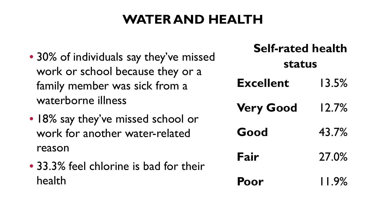# **WATER AND HEALTH**

- 30% of individuals say they've missed work or school because they or a family member was sick from a waterborne illness
- 18% say they've missed school or work for another water-related reason
- 33.3% feel chlorine is bad for their health

| <b>Self-rated health</b><br><b>status</b> |          |  |
|-------------------------------------------|----------|--|
| <b>Excellent</b>                          | 13.5%    |  |
| <b>Very Good</b>                          | 12.7%    |  |
| Good                                      | 43.7%    |  |
| Fair                                      | 27.0%    |  |
| Poor                                      | $11.9\%$ |  |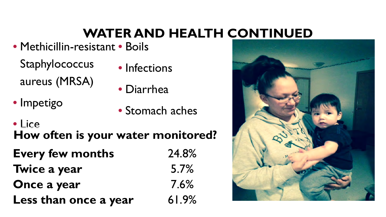# **WATER AND HEALTH CONTINUED**

- Methicillin-resistant Boils
	- **Staphylococcus** aureus (MRSA)
- Infections
- Diarrhea

• Impetigo

- Stomach aches
- Lice **How often is your water monitored?**
- **Every few months** 24.8%
- **Twice a year** 5.7%
- **Once a year** 7.6%
- **Less than once a year** 61.9%
- 

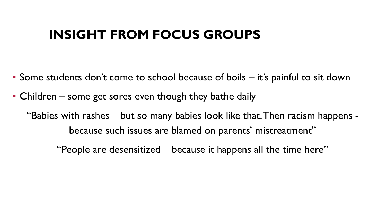#### **INSIGHT FROM FOCUS GROUPS**

- Some students don't come to school because of boils it's painful to sit down
- Children some get sores even though they bathe daily

"Babies with rashes – but so many babies look like that. Then racism happens because such issues are blamed on parents' mistreatment"

"People are desensitized – because it happens all the time here"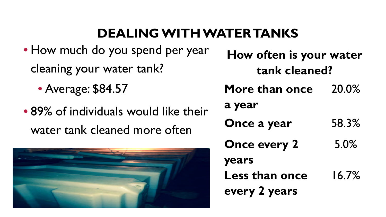# **DEALING WITH WATER TANKS**

- How much do you spend per year cleaning your water tank?
	- Average: \$84.57
- 89% of individuals would like their water tank cleaned more often



**How often is your water tank cleaned?**

**More than once**  20.0%

**a year**

- **Once a year** 58.3%
- **Once every 2**  5.0%

16.7%

**years**

**Less than once every 2 years**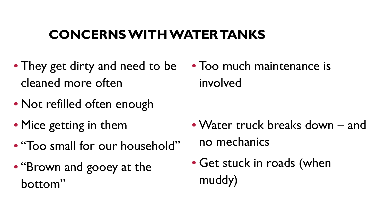# **CONCERNS WITH WATER TANKS**

- They get dirty and need to be cleaned more often
- Not refilled often enough
- Mice getting in them
- "Too small for our household"
- "Brown and gooey at the bottom"

• Too much maintenance is involved

- Water truck breaks down and no mechanics
- Get stuck in roads (when muddy)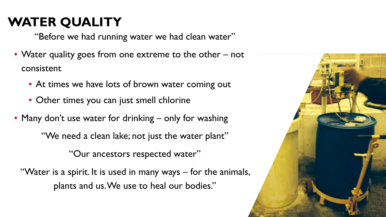# **WATER QUALITY**

"Before we had running water we had clean water"

- Water quality goes from one extreme to the other not consistent
	- At times we have lots of brown water coming out
	- Other times you can just smell chlorine
- Many don't use water for drinking only for washing

"We need a clean lake; not just the water plant"

"Our ancestors respected water"

"Water is a spirit. It is used in many ways – for the animals, plants and us. We use to heal our bodies."

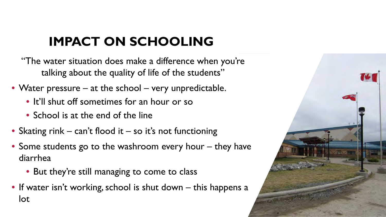# **IMPACT ON SCHOOLING**

"The water situation does make a difference when you're talking about the quality of life of the students"

- Water pressure at the school very unpredictable.
	- It'll shut off sometimes for an hour or so
	- School is at the end of the line
- Skating rink can't flood it so it's not functioning
- Some students go to the washroom every hour they have diarrhea
	- But they're still managing to come to class
- If water isn't working, school is shut down this happens a lot

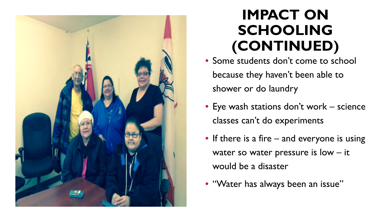

# **IMPACT ON SCHOOLING (CONTINUED)**

- Some students don't come to school because they haven't been able to shower or do laundry
- Eye wash stations don't work science classes can't do experiments
- If there is a fire and everyone is using water so water pressure is low – it would be a disaster
- "Water has always been an issue"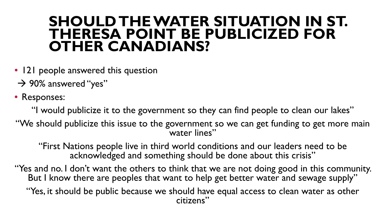#### **SHOULD THE WATER SITUATION IN ST. THERESA POINT BE PUBLICIZED FOR OTHER CANADIANS?**

- 121 people answered this question
- $\rightarrow$  90% answered "yes"
- Responses:

"I would publicize it to the government so they can find people to clean our lakes"

"We should publicize this issue to the government so we can get funding to get more main water lines"

"First Nations people live in third world conditions and our leaders need to be acknowledged and something should be done about this crisis"

"Yes and no. I don't want the others to think that we are not doing good in this community. But I know there are peoples that want to help get better water and sewage supply" "Yes, it should be public because we should have equal access to clean water as other citizens"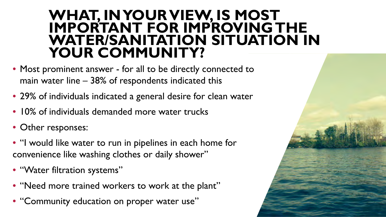#### **WHAT, IN YOUR VIEW, IS MOST IMPORTANT FOR IMPROVING THE WATER/SANITATION SITUATION IN YOUR COMMUNITY?**

- Most prominent answer for all to be directly connected to main water line – 38% of respondents indicated this
- 29% of individuals indicated a general desire for clean water
- 10% of individuals demanded more water trucks
- Other responses:
- "I would like water to run in pipelines in each home for convenience like washing clothes or daily shower"
- "Water filtration systems"
- "Need more trained workers to work at the plant"
- "Community education on proper water use"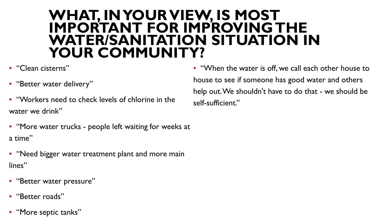#### **WHAT, IN YOUR VIEW, IS MOST IMPORTANT FOR IMPROVING THE WATER/SANITATION SITUATION IN YOUR COMMUNITY?**

- "Clean cisterns"
- "Better water delivery"
- "Workers need to check levels of chlorine in the water we drink"
- "More water trucks people left waiting for weeks at a time"
- "Need bigger water treatment plant and more main lines"
- "Better water pressure"
- "Better roads"
- "More septic tanks"

• "When the water is off, we call each other house to house to see if someone has good water and others help out. We shouldn't have to do that - we should be self-sufficient."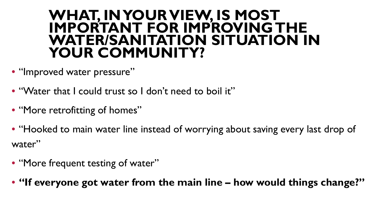#### **WHAT, IN YOUR VIEW, IS MOST IMPORTANT FOR IMPROVING THE WATER/SANITATION SITUATION IN YOUR COMMUNITY?**

- "Improved water pressure"
- "Water that I could trust so I don't need to boil it"
- "More retrofitting of homes"
- "Hooked to main water line instead of worrying about saving every last drop of water"
- "More frequent testing of water"
- **"If everyone got water from the main line – how would things change?"**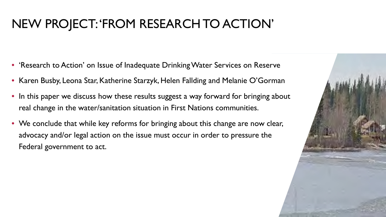# NEW PROJECT: 'FROM RESEARCH TO ACTION'

- 'Research to Action' on Issue of Inadequate Drinking Water Services on Reserve
- Karen Busby, Leona Star, Katherine Starzyk, Helen Fallding and Melanie O'Gorman
- In this paper we discuss how these results suggest a way forward for bringing about real change in the water/sanitation situation in First Nations communities.
- We conclude that while key reforms for bringing about this change are now clear, advocacy and/or legal action on the issue must occur in order to pressure the Federal government to act.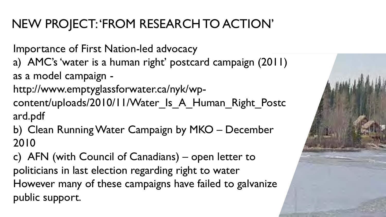# NEW PROJECT: 'FROM RESEARCH TO ACTION'

Importance of First Nation-led advocacy

a) AMC's 'water is a human right' postcard campaign (2011) as a model campaign -

http://www.emptyglassforwater.ca/nyk/wpcontent/uploads/2010/11/Water Is A Human Right Postc ard.pdf

b) Clean Running Water Campaign by MKO – December 2010

c) AFN (with Council of Canadians) – open letter to politicians in last election regarding right to water However many of these campaigns have failed to galvanize public support.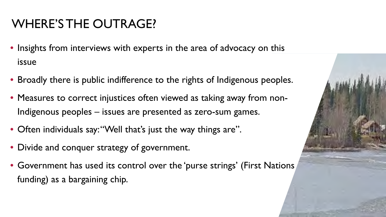# WHERE'S THE OUTRAGE?

- Insights from interviews with experts in the area of advocacy on this issue
- Broadly there is public indifference to the rights of Indigenous peoples.
- Measures to correct injustices often viewed as taking away from non-Indigenous peoples – issues are presented as zero-sum games.
- Often individuals say: "Well that's just the way things are".
- Divide and conquer strategy of government.
- Government has used its control over the 'purse strings' (First Nations funding) as a bargaining chip.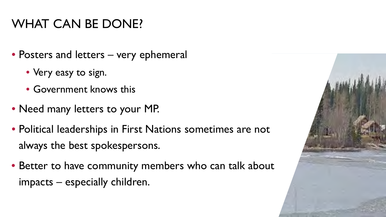## WHAT CAN BE DONE?

- Posters and letters very ephemeral
	- Very easy to sign.
	- Government knows this
- Need many letters to your MP.
- Political leaderships in First Nations sometimes are not always the best spokespersons.
- Better to have community members who can talk about impacts – especially children.